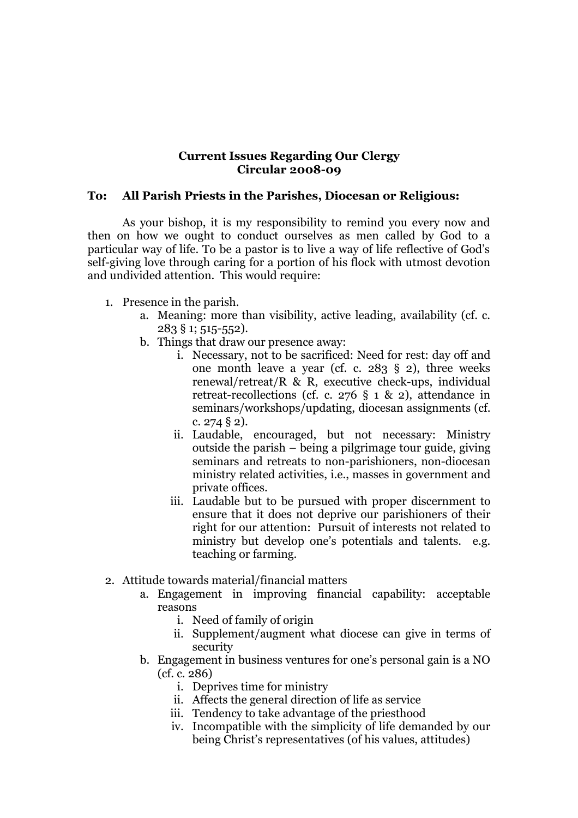## **Current Issues Regarding Our Clergy Circular 2008-09**

## **To: All Parish Priests in the Parishes, Diocesan or Religious:**

As your bishop, it is my responsibility to remind you every now and then on how we ought to conduct ourselves as men called by God to a particular way of life. To be a pastor is to live a way of life reflective of God's self-giving love through caring for a portion of his flock with utmost devotion and undivided attention. This would require:

- 1. Presence in the parish.
	- a. Meaning: more than visibility, active leading, availability (cf. c. 283 § 1; 515-552).
	- b. Things that draw our presence away:
		- i. Necessary, not to be sacrificed: Need for rest: day off and one month leave a year (cf. c. 283 § 2), three weeks renewal/retreat/R & R, executive check-ups, individual retreat-recollections (cf. c. 276 § 1 & 2), attendance in seminars/workshops/updating, diocesan assignments (cf. c.  $274\,8\,2$ ).
		- ii. Laudable, encouraged, but not necessary: Ministry outside the parish – being a pilgrimage tour guide, giving seminars and retreats to non-parishioners, non-diocesan ministry related activities, i.e., masses in government and private offices.
		- iii. Laudable but to be pursued with proper discernment to ensure that it does not deprive our parishioners of their right for our attention: Pursuit of interests not related to ministry but develop one's potentials and talents. e.g. teaching or farming.
- 2. Attitude towards material/financial matters
	- a. Engagement in improving financial capability: acceptable reasons
		- i. Need of family of origin
		- ii. Supplement/augment what diocese can give in terms of security
	- b. Engagement in business ventures for one's personal gain is a NO (cf. c. 286)
		- i. Deprives time for ministry
		- ii. Affects the general direction of life as service
		- iii. Tendency to take advantage of the priesthood
		- iv. Incompatible with the simplicity of life demanded by our being Christ's representatives (of his values, attitudes)